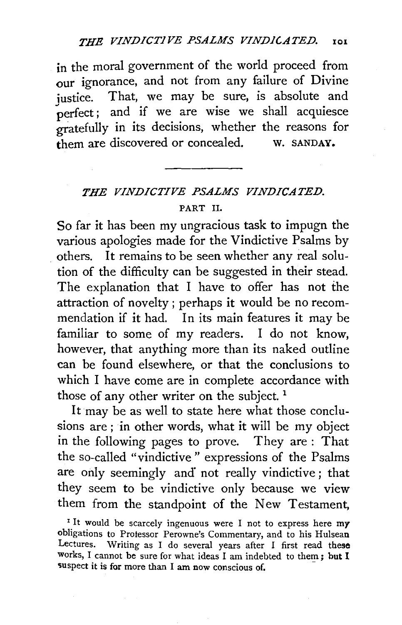in the moral government of the world proceed from our ignorance, and not from any failure of Divine iustice. That, we may be sure, is absolute and perfect; and if we are wise we shall acquiesce gratefully in its decisions, whether the reasons for them are discovered or concealed. w. SANDAY.

## *THE VINDICTIVE PSALMS VINDICATED.*  PART II.

So far it has been my ungracious task to impugn the various apologies made for the Vindictive Psalms by others. It remains to be seen whether any real solution of the difficulty can be suggested in their stead. The explanation that I have to offer has not the attraction of novelty ; perhaps it would be no recommendation if it had. In its main features it may be familiar to some of my readers. I do not know, however, that anything more than its naked outline can be found elsewhere, or that the conclusions to which I have come are in complete accordance with those of any other writer on the subject.<sup>1</sup>

It may be as well to state here what those conclusions are; in other words, what it will be my object in the following pages to prove. They are : That the so-called "vindictive" expressions of the Psalms are only seemingly and not really vindictive; that they seem to be vindictive only because we view them from the standpoint of the New Testament,

<sup>1</sup> It would be scarcely ingenuous were I not to express here  $my$ obligations to Professor Perowne's Commentary, and to his Hulsean Lectures. Writing as I do several years after I first read these works, I cannot be sure for what ideas I am indebted to them; but I suspect it is for more than I am now conscious of.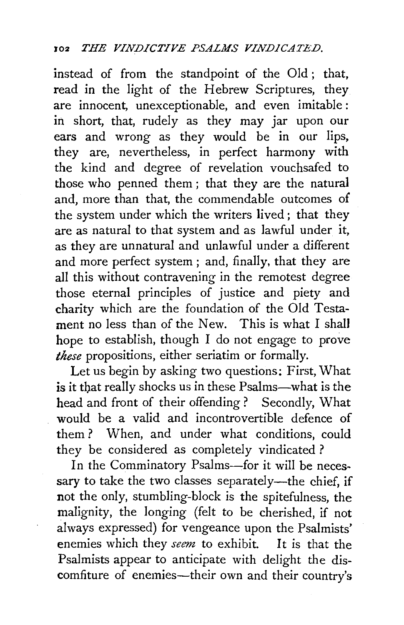instead of from the standpoint of the Old ; that, read in the light of the Hebrew Scriptures, they are innocent, unexceptionable, and even imitable : in short, that, rudely as they may jar upon our ears and wrong as they would be in our lips, they are, nevertheless, in perfect harmony with the kind and degree of revelation vouchsafed *to*  those who penned them ; that they are the natural and, more than that, the commendable outcomes of the system under which the *writers* lived; that they are as natural *to* that system and as lawful under it, as they are unnatural and unlawful under a different and more perfect system ; and, finally, that they are all this without contravening in the remotest degree those eternal principles of *justice* and piety and charity *which* are the foundation of the Old Testament no less than of the New. This is what I shall hope to establish, though I do not engage to prove *these* propositions, either seriatim or formally.

Let us begin by asking two questions; First, What is it that really shocks us in these Psalms-what is the head and front of their offending ? Secondly, What would be a valid and incontrovertible defence of them ? When, and under what conditions, could they be considered as completely vindicated?

In the Comminatory Psalms-for it will be necessary to take the two classes separately-the chief, if not the only, stumbling-block *is* the spitefulness, the malignity, the longing (felt to be cherished, if not always expressed) for vengeance upon the Psalmists' enemies which they *seem* to exhibit. It is that the Psalmists appear to anticipate with delight the discomfiture of enemies-their own and their country's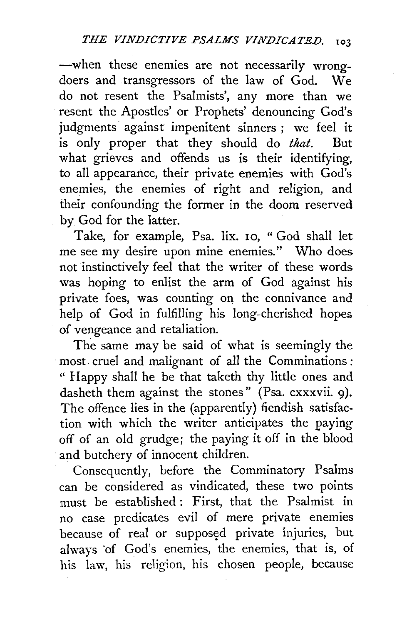-when these enemies are not necessarily wrongdoers and transgressors of the law of God. We do not resent the Psalmists', any more than we resent the Apostles' or Prophets' denouncing God's judgments against impenitent sinners ; we feel it is only proper that they should do *that.* But what grieves and offends us is their identifying, to all appearance, their private enemies with God's enemies, the enemies of right and religion, and their confounding the former in the doom reserved by God for the latter.

Take, for example, Psa. lix. 10, "God shall let me see my desire upon mine enemies." Who does not instinctively feel that the writer of these words was hoping to enlist the arm of God against his private foes, was counting on the connivance and help of God in fulfilling his long-cherished hopes of vengeance and retaliation.

The same may be said of what is seemingly the most cruel and malignant of all the Comminations : " Happy shall he be that taketh thy little ones and dasheth them against the stones" (Psa. cxxxvii. 9). The offence lies in the (apparently) fiendish satisfaction with which the writer anticipates the paying off of an old grudge; the paying it off in the blood and butchery of innocent children.

Consequently, before the Comminatory Psalms can be considered as vindicated, these two points must be established : First, that the Psalmist in no case predicates evil of mere private enemies because of real or supposed private injuries, but always of God's enemies, the enemies, that is, of his law, his religion, his chosen people, because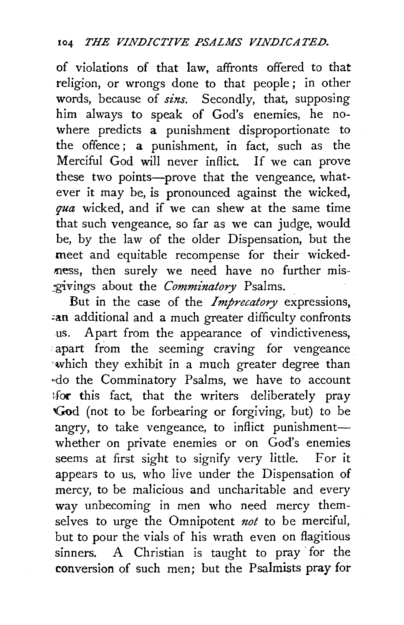of violations of that law, affronts offered to that religion, or wrongs done to that people ; in other words, because of *sins.* Secondly, that, supposing him always to speak of God's enemies, he nowhere predicts a punishment disproportionate to the offence ; a punishment, in fact, such as the Merciful God will never inflict. If we can prove these two points--prove that the vengeance, whatever it may be, is pronounced against the wicked, *qua* wicked, and if we can shew at the same time that such vengeance, so far as we can judge, would be, by the law of the older Dispensation, but the meet and equitable recompense for their wickedness, then surely we need have no further mis-\_g'ivings about the *Comminatory* Psalms.

But in the case of the *Imprecatory* expressions, an additional and a much greater difficulty confronts us. Apart from the appearance of vindictiveness, apart from the seeming craving for vengeance 'Which they exhibit in a much greater degree than •>do the Comminatory Psalms, we have to account tfor this fact, that the writers deliberately pray 'God (not to be forbearing or forgiving, but) to be angry, to take vengeance, to inflict punishmentwhether on private enemies or on God's enemies seems at first sight to signify very little. For it appears to us, who live under the Dispensation of mercy, to be malicious and uncharitable and every way unbecoming in men who need mercy themselves to urge the Omnipotent *not* to be merciful, but to pour the vials of his wrath even on flagitious sinners. A Christian is taught to pray for the conversion of such men; but the Psalmists pray for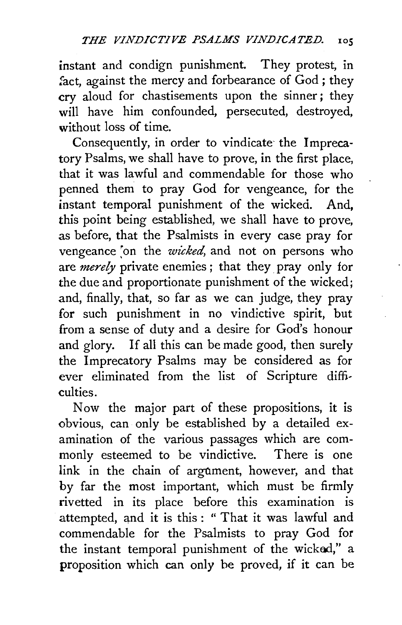instant and condign punishment. They protest, in fact, against the mercy and forbearance of God; they cry aloud for chastisements upon the sinner; they will have him confounded, persecuted, destroyed, without loss of time.

Consequently, in order to vindicate the Imprecatory Psalms, we shall have to prove, in the first place, that it was lawful and commendable for those who penned them to pray God for vengeance, for the instant temporal punishment of the wicked. And, this point being established, we shall have to prove, as before, that the Psalmists in every case pray for vengeance on the *wicked*, and not on persons who are *merely* private enemies; that they pray only for the due and proportionate punishment of the wicked; and, finally, that, so far as we can judge, they pray for such punishment in no vindictive spirit, but from a sense of duty and a desire for God's honour and glory. If all this can be made good, then surely the Imprecatory Psalms may be considered as for ever eliminated from the list of Scripture difficulties.

Now the major part of these propositions, it is obvious, can only be established by a detailed examination of the various passages which are commonly esteemed to be vindictive. There is one link in the chain of argument, however, and that by far the most important, which must be firmly rivetted in its place before this examination is attempted, and it is this : " That it was lawful and commendable for the Psalmists to pray God for the instant temporal punishment of the wicked," a proposition which can only be proved, if it can be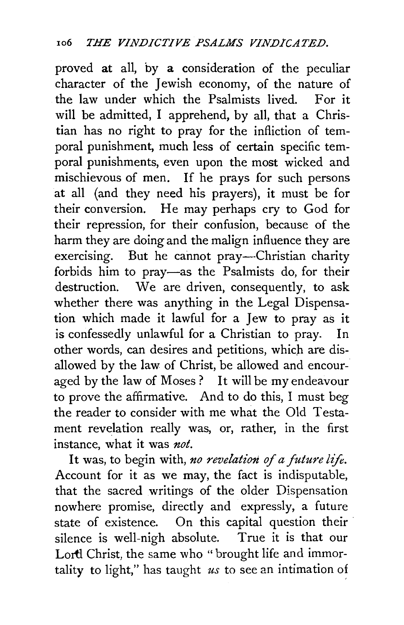proved at all, by a consideration of the peculiar character of the Jewish economy, of the nature of the law under which the Psalmists lived. For it will be admitted, I apprehend, by all, that a Christian has no right to pray for the infliction of temporal punishment, much less of certain specific temporal punishments, even upon the most wicked and mischievous of men. If he prays for such persons at all (and they need his prayers), it must be for their conversion. He may perhaps cry to God for their repression, for their confusion, because of the harm they are doing and the malign influence they are exercising. But he cannot pray-Christian charity forbids him to pray-as the Psalmists do, for their destruction. We are driven, consequently, to ask whether there was anything in the Legal Dispensation which made it lawful for a Jew to pray as it is confessedly unlawful for a Christian to pray. In other words, can desires and petitions, which are disallowed by the law of Christ, be allowed and encouraged by the law of Moses? It will be my endeavour to prove the affirmative. And to do this, I must beg the reader to consider with me what the Old Testament revelation really was, or, rather, in the first instance, what it was *not.* 

It was, to begin with, *no revelation of a future lifi.*  Account for it as we may, the fact is indisputable, that the sacred writings of the older Dispensation nowhere promise, directly and expressly, a future state of existence. On this capital question their silence is well-nigh absolute. True it is that our Lortl Christ, the same who " brought life and immortality to light," has taught *us* to see an intimation of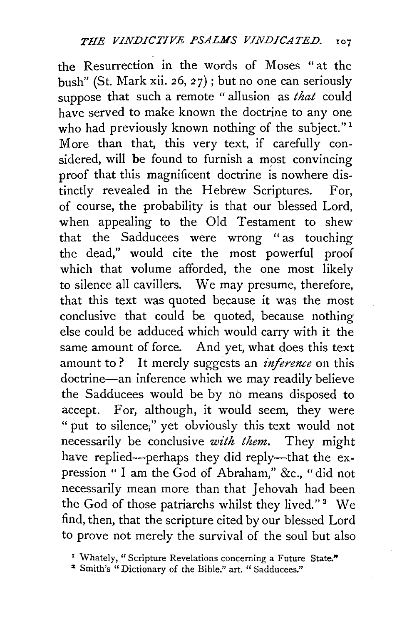the Resurrection in the words of Moses "at the bush" (St. Mark xii. 26, 27); but no one can seriously suppose that such a remote "allusion as *that* could have served to make known the doctrine to any one who had previously known nothing of the subject."<sup>1</sup> More than that, this very text, if carefully considered, will be found to furnish a most convincing proof that this magnificent doctrine is nowhere distinctly revealed in the Hebrew Scriptures. For, of course, the probability is that our blessed Lord, when appealing to the Old Testament to shew that the Sadducees were wrong " as touching the dead," would cite the most powerful proof which that volume afforded, the one most likely to silence all cavillers. We may presume, therefore, that this text was quoted because it was the most conclusive that could be quoted, because nothing else could be adduced which would carry with it the same amount of force. And yet, what does this text amount to? It merely suggests an *inference* on this doctrine-an inference which we may readily believe the Sadducees would be by no means disposed to accept. For, although, it would seem, they were " put to silence;" yet obviously this text would not necessarily be conclusive *with them.* They might have replied-perhaps they did reply-that the expression " I am the God of Abraham," &c., "did not necessarily mean more than that Jehovah had been the God of those patriarchs whilst they lived."<sup>2</sup> We find, then, that the scripture cited by our blessed Lord to prove not merely the survival of the soul but also

<sup>&</sup>lt;sup>1</sup> Whately, "Scripture Revelations concerning a Future State."

<sup>&</sup>lt;sup>2</sup> Smith's "Dictionary of the Bible." art. "Sadducees."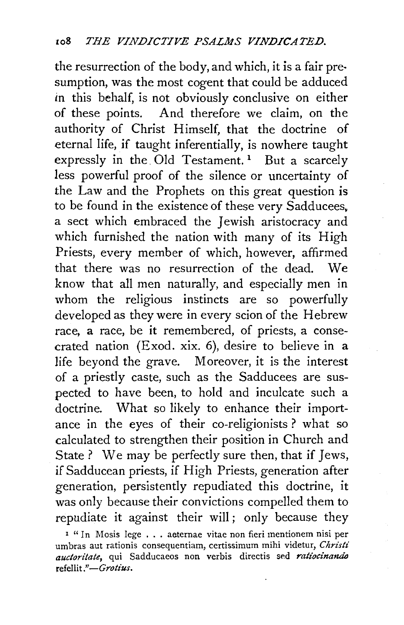the resurrection of the body, and which, it is a fair pre· sumption, was the most cogent that could be adduced *in* this behalf, is not obviously conclusive on either of these points. And therefore we claim, on the authority of Christ Himself, that the doctrine of eternal life, if taught inferentially, is nowhere taught expressly in the Old Testament.<sup>1</sup> But a scarcely less powerful proof of the silence or uncertainty of the Law and the Prophets on this great question is to be found in the existence of these very Sadducees. a sect which embraced the Jewish aristocracy and which furnished the nation with many of its High Priests, every member of which, however, affirmed that there was no resurrection of the dead. We know that all men naturally, and especially men in whom the religious instincts are so powerfully developed as they were in every scion of the Hebrew race, a race, be it remembered, of priests, a consecrated nation (Exod. xix. 6), desire to believe in a life beyond the grave. Moreover, it is the interest of a priestly caste, such as the Sadducees are suspected to have been, to hold and inculcate such a doctrine. What so likely to enhance their importance in the eyes of their co-religionists ? what so calculated to strengthen their position in Church and State ? We may be perfectly sure then, that if Jews, if Sadducean priests, if High Priests, generation after generation, persistently repudiated this doctrine, it was only because their convictions compelled them to repudiate it against their will; only because they

z " In Mosis lege ... aeternae vitae non fieri mentionem nisi per umbras aut rationis consequentiam, certissimum mihi videtur, *Christi*  auctoritate, qui Sadducaeos non verbis directis sed ratiocinando refellit ." *-Grotius.*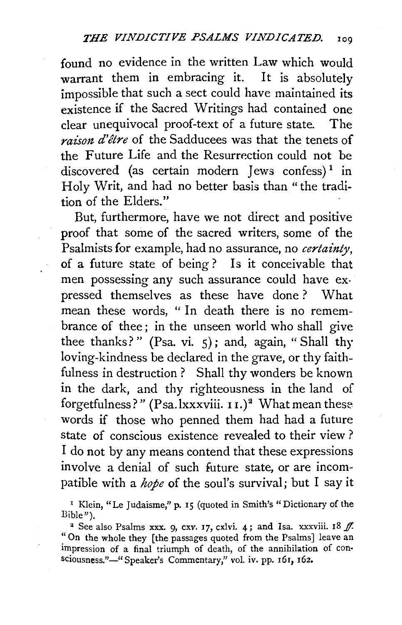found no evidence in the written Law which would warrant them in embracing it. It is absolutely impossible that such a sect could have maintained its existence if the Sacred Writings had contained one clear unequivocal proof-text of a future state. The *raison d'etre* of the Sadducees was that the tenets of the Future Life and the Resurrection could not be discovered (as certain modern Jews confess)<sup>1</sup> in Holy Writ, and had no better basis than "the tradition of the Elders."

But, furthermore, have we not direct and positive proof that some of the sacred writers, some of the Psalmists for example, had no assurance, no *certainty,*  of a future state of being ? Is it conceivable that men possessing any such assurance could have expressed themselves as these have done? What mean these words, "In death there is no remembrance of thee: in the unseen world who shall give thee thanks?" (Psa. vi. 5); and, again, "Shall thy loving-kindness be declared in the grave, or thy faithfulness in destruction ? Shall thy wonders be known in the dark, and thy righteousness in the land of forgetfulness?" (Psa.lxxxviii.  $11.$ )<sup>2</sup> What mean these words if those who penned them had had a future state of conscious existence revealed to their view ? I do not by any means contend that these expressions involve a denial of such future state, or are incompatible with a *hope* of the soul's survival; but I say it

 $^{\rm I}$  Klein, "Le Judaisme," p. 15 (quoted in Smith's "Dictionary of the Bible").

<sup>2</sup> See also Psalms xxx. 9, cxv. 17, cxlvi. 4; and Isa. xxxviii. 18  $f$ . "On the whole they [the passages quoted from the Psalms] leave an impression of a final triumph of death, of the annihilation of con· sciousness."-" Speaker's Commentary," vol. iv. pp. 161, 162.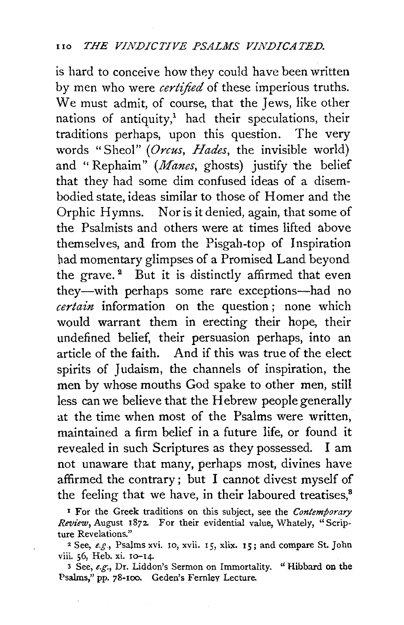is hard to conceive how they could have been written by men who were *certified* of these imperious truths. We must admit, of course, that the Jews, like other nations of antiquity,<sup>1</sup> had their speculations, their traditions perhaps, upon this question. The very words "Sheol" *(Orcus, Hades,* the invisible world) and "Rephaim" *(Manes,* ghosts) justify the belief that they had some dim confused ideas of a disembodied state, ideas similar to those of Homer and the Orphic Hymns. Nor is it denied, again, that some of the Psalmists and others were at times lifted above themselves, and from the Pisgah-top of Inspiration had momentary glimpses of a Promised Land beyond the grave. $^2$  But it is distinctly affirmed that even they-with perhaps some rare exceptions-had no *certain* information on the question ; none which would warrant them in erecting their hope, their undefined belief, their persuasion perhaps, into an article of the faith. And if this was true of the elect spirits of Judaism, the channels of inspiration, the men by whose mouths God spake to other men, still less can we believe that the Hebrew people generally at the time when most of the Psalms were written, maintained a firm belief in a future life, or found it revealed in such Scriptures as they possessed. I am not unaware that many, perhaps most, divines have affirmed the contrary; but I cannot divest myself of the feeling that we have, in their laboured treatises.<sup>8</sup>

x For the Greek traditions on this subject, see the *Contemporary Review, August 1872.* For their evidential value, Whately, "Scrip-<br>ture Revelations."

<sup>2</sup> See, *e.g.*, Psalms xvi. 10, xvii. 15, xlix. 15; and compare St. John viii. 56, Heb. xi. 10-14.

3 See, *e.g.,* Dr. Liddon's Sermon on Immortality. "Hibbard on the Psalms," pp. 78-100. Geden's Fernley Lecture.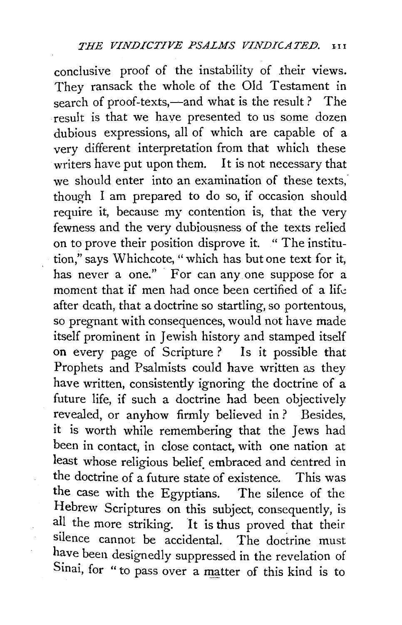conclusive proof of the instability of .their views. They ransack the whole of the Old Testament in search of proof-texts,—and what is the result ? The result is that we have presented to us some dozen dubious expressions, all of which are capable of a very different interpretation from that which these writers have put upon them. It is not necessary that we should enter into an examination of these texts. though I am prepared to do so, if occasion should require it, because my contention is, that the very fewness and the very dubiousness of the texts relied on to prove their position disprove it. " The institution," says Whichcote, "which has but one text for it, has never a one." For can any one suppose for a moment that if men had once been certified of a life after death, that a doctrine so startling, so portentous, so pregnant with consequences, would not have made itself prominent in Jewish history and stamped itself on every page of Scripture ? Is it possible that Prophets and Psalmists could have written as they have written, consistently ignoring the doctrine of a future life, if such a doctrine had been objectively revealed, or anyhow firmly believed in ? Besides, it is worth while remembering that the Jews had been in contact, in close contact, with one nation at least whose religious belief. embraced and centred in the doctrine of a future state of existence. This was the case with the Egyptians. The silence of the Hebrew Scriptures on this subject, consequently, is all the more striking. It is thus proved that their silence cannot be accidental. The doctrine must have been designedly suppressed in the revelation of Sinai, for " to pass over a matter of this kind is to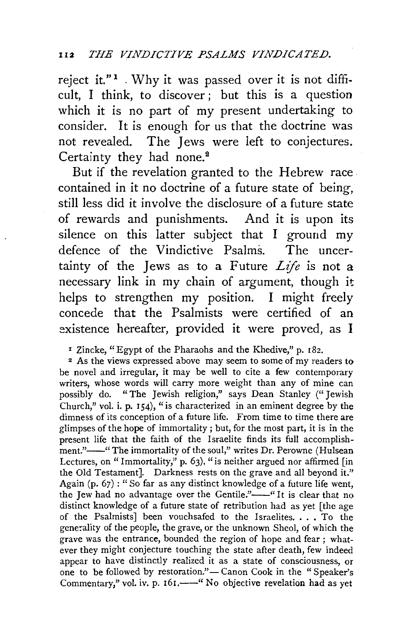reject it."<sup>1</sup>. Why it was passed over it is not difficult, I think, to discover ; but this is a question which it is no part of my present undertaking to consider. It is enough for us that the doctrine was not revealed. The Jews were left to conjectures. Certainty they had none.<sup>2</sup>

But if the revelation granted to the Hebrew race. contained in it no doctrine of a future state of being, still less did it involve the disclosure of a future state of rewards and punishments. And it is upon its silence on this latter subject that I ground my defence of the Vindictive Psalms. The uncertainty of the Jews as to a Future *Life* is not a necessary link in my chain of argument, though it helps to strengthen my position. I might freely concede that the Psalmists were certified of an existence hereafter, provided it were proved, as I

x Zincke, "Egypt of the Pharaohs and the Khedive," p. 182.

2 As the views expressed above may seem to some of my readers to be novel and irregular, it may be well to cite a few contemporary writers, whose words will carry more weight than any of mine can possibly do. "The Jewish religion," says Dean Stanley ("Jewish Church," vol. i. p. 154), "is characterized in an eminent degree by the dimness of its conception of a future life. From time to time there are glimpses of the hope of immortality ; but, for the most part, it is in the present life that the faith of the Israelite finds its full accomplishment."----" The immortality of the soul," writes Dr. Perowne (Hulsean Lectures, on " Immortality,"  $p. 63$ ), " is neither argued nor affirmed [in the Old Testament]. Darkness rests on the grave and all beyond it." Again (p. 67) : "So far as any distinct knowledge of a future life went, the Jew had no advantage over the Gentile."-" It is clear that no distinct knowledge of a future state of retribution had as yet [the age of the Psalmists] been vouchsafed to the Israelites. . . . To the generality of the people, the grave, or the unknown Sheol, of which the grave was the entrance, bounded the region of hope and fear ; whatever they might conjecture touching the state after death, few indeed appear to have distinctly realized it as a state of consciousness, or one to be followed by restoration."- Canon Cook in the "Speaker's Commentary," vol. iv. p. 161,---" No objective revelation had as yet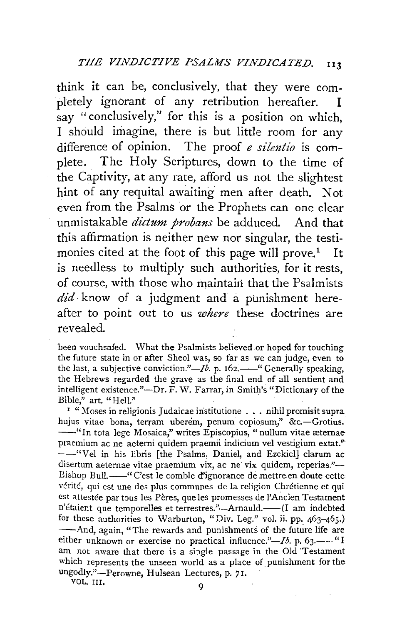think it can be, conclusively, that they were completely ignorant of any retribution hereafter. I say "conclusively," for this is a position on which, I should imagine, there is but little room for any difference of opinion. The proof *e silentio* is complete. The Holy Scriptures, down to the time of the Captivity, at any rate, afford us not the slightest hint of any requital awaiting men after death. Not even from the Psalms or the Prophets can one clear unmistakable *dictum probans* be adduced. And that this affirmation is neither new nor singular, the testimonies cited at the foot of this page will prove.<sup>1</sup> It is needless to multiply such authorities, for it rests, of course, with those who maintain that the Psalmists *did* know of a judgment and a punishment hereafter to point out to us *where* these doctrines are revealed.

been vouchsafed. What the Psalmists believed or hoped for touching the future state in or after Sheol was, so far as we can judge, even to the last, a subjective conviction."— $Ib$ . p. 162.——" Generally speaking, the Hebrews regarded the grave as the final end of all sentient and intelligent existence."-Dr. F. W. Farrar, *in* Smith's "Dictionary of the Bible," art. "Hell."

 $\mathbf{r}$  " Moses in religionis Judaicae institutione  $\ldots$  nihil promisit supra hujus vitae bona, terram uberem, penum copiosum," &c.-Grotius. --"In tota lege Mosaica," writes Episcopius, "nullum vitae æternae praemium ac ne aeterni quidem praemii indicium vel vestigium extat." --"Vel in his libris [the Psalms, Daniel, and Ezekicl) clarum ac disertum aeternae vitae praemium vix, ac ne vix quidem, reperias."-Bishop Bull.--''C'est le comble d'ignorance de mettre en doute cette vérité, qui est une des plus communes de la religion Chrétienne et qui est attestée par tous les Pères, que les promesses de l'Ancien Testament n'étaient que temporelles et terrestres."---Arnauld.-----(I am indebted for these authorities to Warburton, "Div. Leg." vol. ii. pp. 463-465.) -- And, again, "The rewards and punishments of the future life are either unknown or exercise no practical influence." $-Ib$ . p. 63.- $-I$ <sup>"</sup>I am not aware that there is a single passage in the Old 'Testament which represents the unseen world as a place of punishment for the ungodly."-Perowne, Hulsean Lectures, p. 71.

vol. III. 9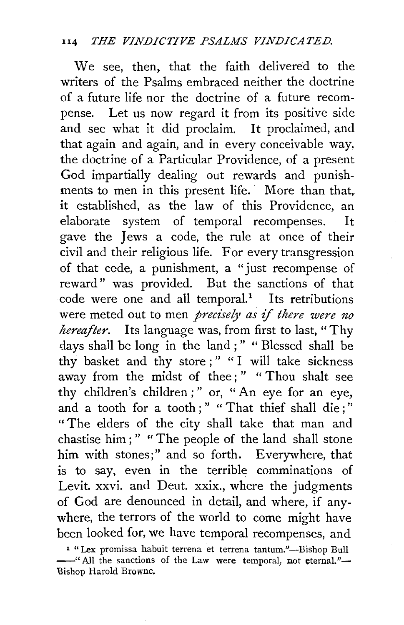## II4 *THE VINDICTIVE PSALMS VINDICATED.*

We see, then, that the faith delivered to the writers of the Psalms embraced neither the doctrine of a future life nor the doctrine of a future recompense. Let us now regard it from its positive side and see what it did proclaim. It proclaimed, and that again and again, and in every conceivable way, the doctrine of a Particular Providence, of a present God impartially dealing out rewards and punishments to men in this present life. More than that, it established, as the law of this Providence, an elaborate system of temporal recompenses. It gave the Jews a code, the rule at once of their civil and their religious life. For every transgression of that cede, a punishment, a "just recompense of reward" was provided. But the sanctions of that  $code$  were one and all temporal.<sup>1</sup> Its retributions were meted out to men *precisely as if there were no hereafter.* Its language was, from first to last, " Thy days shall be long in the land ; " " Blessed shall be thy basket and thy store ; " " I will take sickness away from the midst of thee;" " Thou shalt see thy children's children ; " or, " An eye for an eye, and a tooth for a tooth;" "That thief shall die;" " The elders of the city shall take that man and chastise him ; " " The people of the land shall stone him with stones;" and so forth. Everywhere, that is to say, even in the terrible comminations of Levit. xxvi. and Deut. xxix., where the judgments of God are denounced in detail, and where, if anywhere, the terrors of the world to come might have been looked for, we have temporal recompenses, and

<sup>&</sup>lt;sup>1</sup> "Lex promissa habuit terrena et terrena tantum."--Bishop Bull -"All the sanctions of the Law were temporal, not eternal."-'Bishop Harold Brownc.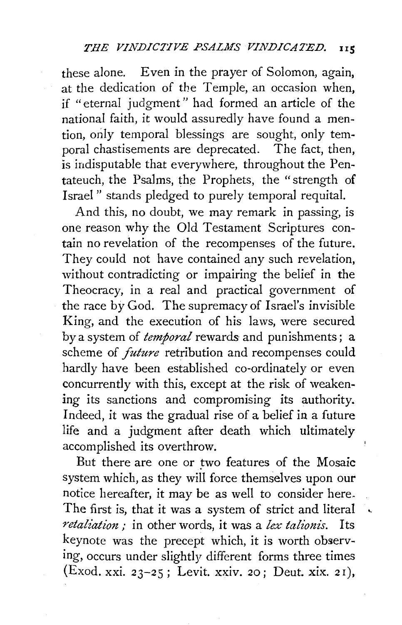these alone. Even in the prayer of Solomon, again, at the dedication of the Temple, an occasion when, if "eternal judgment" had formed an article of the national faith, it would assuredly have found a mention, only temporal blessings are sought, only temporal chastisements are deprecated. The fact, then, is indisputable that everywhere, throughout the Pentateuch, the Psalms, the Prophets, the "strength of Israel " stands pledged to purely temporal requital.

And this, no doubt, we may remark in passing, is one reason why the Old Testament Scriptures contain no revelation of the recompenses of the future. They could not have contained any such revelation, without contradicting or impairing the belief in the Theocracy, in a real and practical government of the race by God. The supremacy of Israel's invisible King, and the execution of his laws, were secured by a system of *temporal* rewards and punishments ; a scheme of *future* retribution and recompenses could hardly have been established co-ordinately or even concurrently with this, except at the risk of weakening its sanctions and compromising its authority. Indeed, it was the gradual rise of a belief in a future life and a judgment after death which ultimately accomplished its overthrow.

But there are one or two features of the Mosaic system which, as they will force themselves upon our notice hereafter, it may be as well to consider here. The first is, that it was a system of strict and literal *retaliation,·* in other words, it was a *lex talionis.* Its keynote was the precept which, it is worth observing, occurs under slightly different forms three times (Exod. xxi. 23-25; Levit. xxiv. 20; Deut. xix. 2r),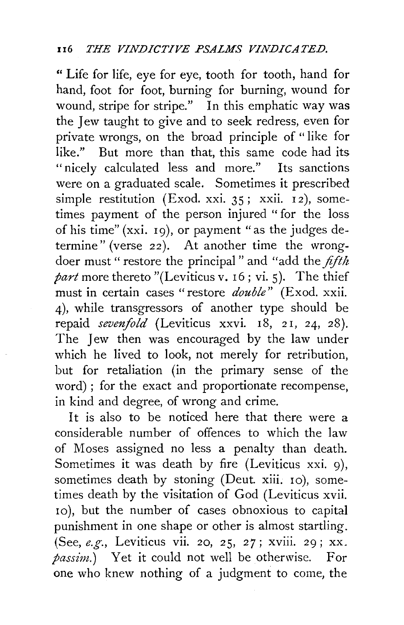" Life for life, eye for eye, tooth for tooth, hand for hand, foot for foot, burning for burning, wound for wound, stripe for stripe." In this emphatic way was the Jew taught to give and to seek redress, even for private wrongs, on the broad principle of " like for like." But more than that, this same code had its "nicely calculated less and more." Its sanctions were on a graduated scale. Sometimes it prescribed simple restitution (Exod. xxi. 35; xxii. 12), sometimes payment of the person injured "for the loss of his time" (xxi. I9), or payment "as the judges determine" (verse 22). At another time the wrongdoer must " restore the principal" and "add the *fifth part* more thereto "(Leviticus v. I6; vi. 5). The thief must in certain cases "restore *double"* (Exod. xxii. 4), while transgressors of another type should be repaid *sevenfold* (Leviticus xxvi. 18, 21, 24, 28). The Jew then was encouraged by the law under which he lived to look, not merely for retribution, but for retaliation (in the primary sense of the word) ; for the exact and proportionate recompense, in kind and degree, of wrong and crime.

It is also to be noticed here that there were a considerable number of offences to which the law of Moses assigned no less a penalty than death. Sometimes it was death by fire (Leviticus xxi. 9), sometimes death by stoning (Deut. xiii.  $10$ ), sometimes death by the visitation of God (Leviticus xvii. 10 ), but the number of cases obnoxious to capital punishment in one shape or other is almost startling. (See, *e.g.,* Leviticus vii. 20, 25, 27; xviii. 29; xx. *passim.)* Yet it could not well be otherwise. For one who knew nothing of a judgment to come, the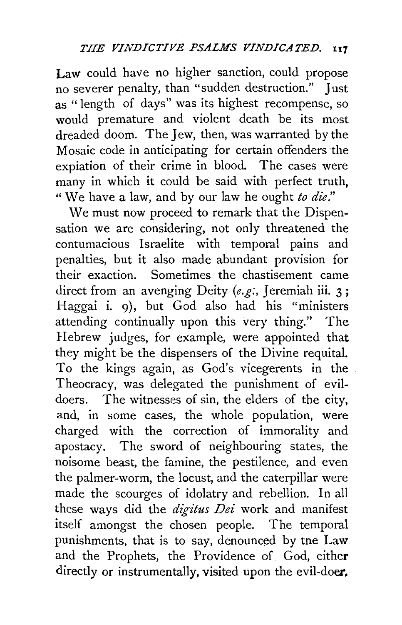**Law** could have no higher sanction, could propose no severer penalty, than "sudden destruction." Just as "length of days" was its highest recompense, so would premature and violent death be its most dreaded doom. The Jew, then, was warranted by the Mosaic code in anticipating for certain offenders the expiation of their crime in blood. The cases were many in which it could be said with perfect truth, "We have a law, and by our law he ought *to die."* 

We must now proceed to remark that the Dispensation we are considering, not only threatened the contumacious Israelite with temporal pains and penalties, but it also made abundant provision for their exaction. Sometimes the chastisement came direct from an avenging Deity (e.g., Jeremiah iii. 3; Haggai **i.** 9), but God also had his "ministers attending continually upon this very thing." The Hebrew judges, for example, were appointed that they might be the dispensers of the Divine requital. To the kings again, as God's vicegerents in the Theocracy, was delegated the punishment of evildoers. The witnesses of sin, the elders of the city, and, in some cases, the whole population, were charged with the correction of immorality and apostacy. The sword of neighbouring states, the noisome beast, the famine, the pestilence, and even the palmer-worm, the locust, and the caterpillar were made the scourges of idolatry and rebellion. In all these ways did the *digitus Dei* work and manifest itself amongst the chosen people. The temporal punishments, that is to say, denounced by tne Law and the Prophets, the Providence of God, either directly or instrumentally, visited upon the evil-doer.